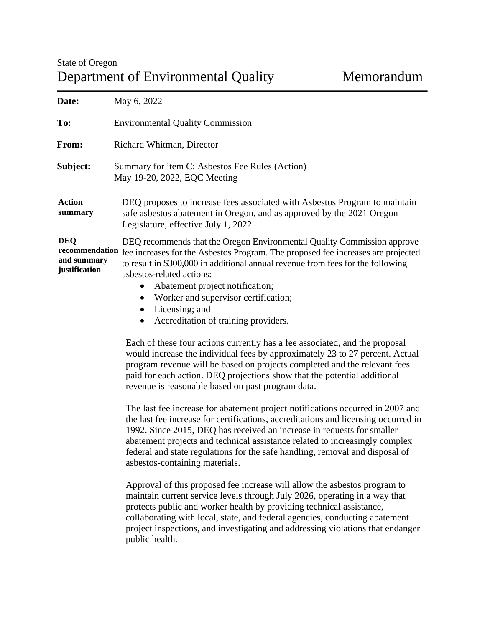| Date:                                                        | May 6, 2022                                                                                                                                                                                                                                                                                                                                                                                |
|--------------------------------------------------------------|--------------------------------------------------------------------------------------------------------------------------------------------------------------------------------------------------------------------------------------------------------------------------------------------------------------------------------------------------------------------------------------------|
| To:                                                          | <b>Environmental Quality Commission</b>                                                                                                                                                                                                                                                                                                                                                    |
| From:                                                        | Richard Whitman, Director                                                                                                                                                                                                                                                                                                                                                                  |
| Subject:                                                     | Summary for item C: Asbestos Fee Rules (Action)<br>May 19-20, 2022, EQC Meeting                                                                                                                                                                                                                                                                                                            |
| <b>Action</b><br>summary                                     | DEQ proposes to increase fees associated with Asbestos Program to maintain<br>safe asbestos abatement in Oregon, and as approved by the 2021 Oregon<br>Legislature, effective July 1, 2022.                                                                                                                                                                                                |
| <b>DEQ</b><br>recommendation<br>and summary<br>justification | DEQ recommends that the Oregon Environmental Quality Commission approve<br>fee increases for the Asbestos Program. The proposed fee increases are projected<br>to result in \$300,000 in additional annual revenue from fees for the following<br>asbestos-related actions:<br>Abatement project notification;<br>Worker and supervisor certification;<br>$\bullet$<br>Licensing; and<br>٠ |
|                                                              | Accreditation of training providers.                                                                                                                                                                                                                                                                                                                                                       |

Each of these four actions currently has a fee associated, and the proposal would increase the individual fees by approximately 23 to 27 percent. Actual program revenue will be based on projects completed and the relevant fees paid for each action. DEQ projections show that the potential additional revenue is reasonable based on past program data.

The last fee increase for abatement project notifications occurred in 2007 and the last fee increase for certifications, accreditations and licensing occurred in 1992. Since 2015, DEQ has received an increase in requests for smaller abatement projects and technical assistance related to increasingly complex federal and state regulations for the safe handling, removal and disposal of asbestos-containing materials.

Approval of this proposed fee increase will allow the asbestos program to maintain current service levels through July 2026, operating in a way that protects public and worker health by providing technical assistance, collaborating with local, state, and federal agencies, conducting abatement project inspections, and investigating and addressing violations that endanger public health.